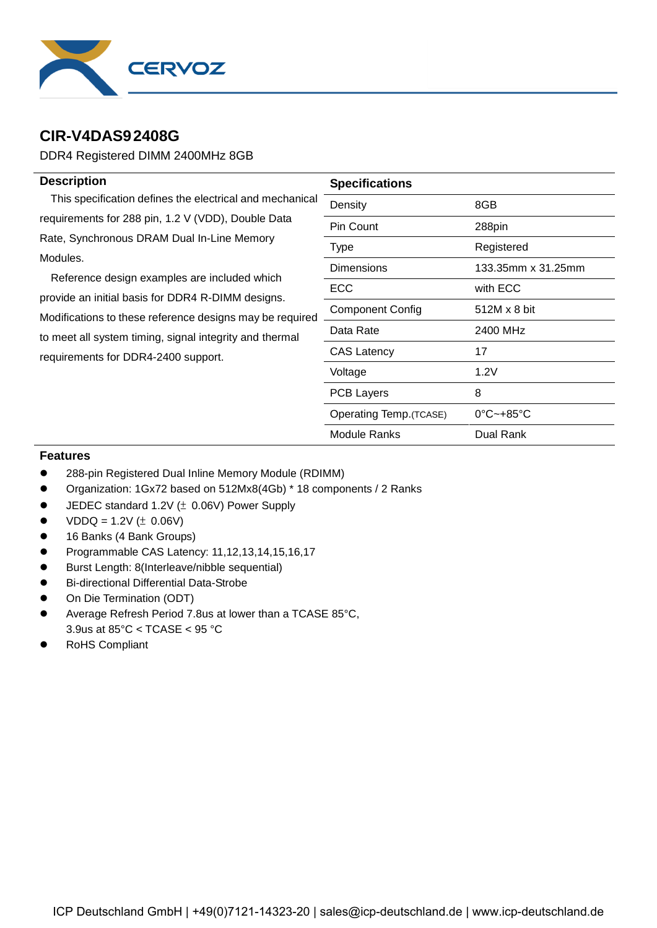

## **CIR-V4DAS92408G**

DDR4 Registered DIMM 2400MHz 8GB

| <b>Description</b>                                                                                                                                                                                                                                                                                                                                                              | <b>Specifications</b>   |                                |  |  |
|---------------------------------------------------------------------------------------------------------------------------------------------------------------------------------------------------------------------------------------------------------------------------------------------------------------------------------------------------------------------------------|-------------------------|--------------------------------|--|--|
| This specification defines the electrical and mechanical                                                                                                                                                                                                                                                                                                                        | Density                 | 8GB                            |  |  |
| requirements for 288 pin, 1.2 V (VDD), Double Data<br>Rate, Synchronous DRAM Dual In-Line Memory<br>Modules.<br>Reference design examples are included which<br>provide an initial basis for DDR4 R-DIMM designs.<br>Modifications to these reference designs may be required<br>to meet all system timing, signal integrity and thermal<br>requirements for DDR4-2400 support. | Pin Count               | 288pin                         |  |  |
|                                                                                                                                                                                                                                                                                                                                                                                 | Type                    | Registered                     |  |  |
|                                                                                                                                                                                                                                                                                                                                                                                 | <b>Dimensions</b>       | 133.35mm x 31.25mm             |  |  |
|                                                                                                                                                                                                                                                                                                                                                                                 | <b>ECC</b>              | with ECC                       |  |  |
|                                                                                                                                                                                                                                                                                                                                                                                 | <b>Component Config</b> | 512M x 8 bit                   |  |  |
|                                                                                                                                                                                                                                                                                                                                                                                 | Data Rate               | 2400 MHz                       |  |  |
|                                                                                                                                                                                                                                                                                                                                                                                 | <b>CAS Latency</b>      | 17                             |  |  |
|                                                                                                                                                                                                                                                                                                                                                                                 | Voltage                 | 1.2V                           |  |  |
|                                                                                                                                                                                                                                                                                                                                                                                 | <b>PCB Layers</b>       | 8                              |  |  |
|                                                                                                                                                                                                                                                                                                                                                                                 | Operating Temp. (TCASE) | $0^{\circ}$ C~+85 $^{\circ}$ C |  |  |
|                                                                                                                                                                                                                                                                                                                                                                                 | Module Ranks            | Dual Rank                      |  |  |

## **Features**

- 288-pin Registered Dual Inline Memory Module (RDIMM)
- Organization: 1Gx72 based on 512Mx8(4Gb) \* 18 components / 2 Ranks
- JEDEC standard 1.2V (± 0.06V) Power Supply
- $VDDQ = 1.2V (\pm 0.06V)$
- 16 Banks (4 Bank Groups)
- Programmable CAS Latency: 11,12,13,14,15,16,17
- Burst Length: 8(Interleave/nibble sequential)
- Bi-directional Differential Data-Strobe
- **•** On Die Termination (ODT)
- Average Refresh Period 7.8us at lower than a TCASE 85°C, 3.9us at 85°C < TCASE < 95 °C
- RoHS Compliant